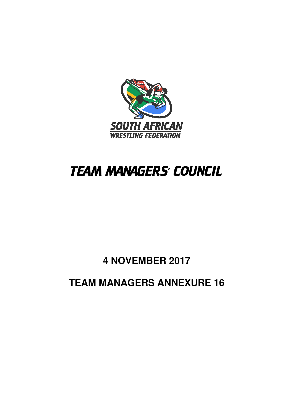

# **TEAM MANAGERS' COUNCIL**

**4 NOVEMBER 2017** 

**TEAM MANAGERS ANNEXURE 16**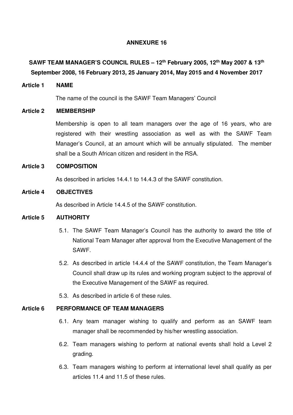# **ANNEXURE 16**

# **SAWF TEAM MANAGER'S COUNCIL RULES – 12th February 2005, 12th May 2007 & 13th September 2008, 16 February 2013, 25 January 2014, May 2015 and 4 November 2017**

#### **Article 1 NAME**

The name of the council is the SAWF Team Managers' Council

#### **Article 2 MEMBERSHIP**

Membership is open to all team managers over the age of 16 years, who are registered with their wrestling association as well as with the SAWF Team Manager's Council, at an amount which will be annually stipulated. The member shall be a South African citizen and resident in the RSA.

#### **Article 3 COMPOSITION**

As described in articles 14.4.1 to 14.4.3 of the SAWF constitution.

### **Article 4 OBJECTIVES**

As described in Article 14.4.5 of the SAWF constitution.

# **Article 5 AUTHORITY**

- 5.1. The SAWF Team Manager's Council has the authority to award the title of National Team Manager after approval from the Executive Management of the SAWF.
- 5.2. As described in article 14.4.4 of the SAWF constitution, the Team Manager's Council shall draw up its rules and working program subject to the approval of the Executive Management of the SAWF as required.
- 5.3. As described in article 6 of these rules.

# **Article 6 PERFORMANCE OF TEAM MANAGERS**

- 6.1. Any team manager wishing to qualify and perform as an SAWF team manager shall be recommended by his/her wrestling association.
- 6.2. Team managers wishing to perform at national events shall hold a Level 2 grading.
- 6.3. Team managers wishing to perform at international level shall qualify as per articles 11.4 and 11.5 of these rules.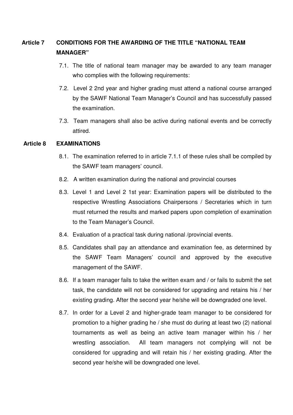# **Article 7 CONDITIONS FOR THE AWARDING OF THE TITLE "NATIONAL TEAM MANAGER"**

- 7.1. The title of national team manager may be awarded to any team manager who complies with the following requirements:
- 7.2. Level 2 2nd year and higher grading must attend a national course arranged by the SAWF National Team Manager's Council and has successfully passed the examination.
- 7.3. Team managers shall also be active during national events and be correctly attired.

# **Article 8 EXAMINATIONS**

- 8.1. The examination referred to in article 7.1.1 of these rules shall be compiled by the SAWF team managers' council.
- 8.2. A written examination during the national and provincial courses
- 8.3. Level 1 and Level 2 1st year: Examination papers will be distributed to the respective Wrestling Associations Chairpersons / Secretaries which in turn must returned the results and marked papers upon completion of examination to the Team Manager's Council.
- 8.4. Evaluation of a practical task during national /provincial events.
- 8.5. Candidates shall pay an attendance and examination fee, as determined by the SAWF Team Managers' council and approved by the executive management of the SAWF.
- 8.6. If a team manager fails to take the written exam and / or fails to submit the set task, the candidate will not be considered for upgrading and retains his / her existing grading. After the second year he/she will be downgraded one level.
- 8.7. In order for a Level 2 and higher-grade team manager to be considered for promotion to a higher grading he / she must do during at least two (2) national tournaments as well as being an active team manager within his / her wrestling association. All team managers not complying will not be considered for upgrading and will retain his / her existing grading. After the second year he/she will be downgraded one level.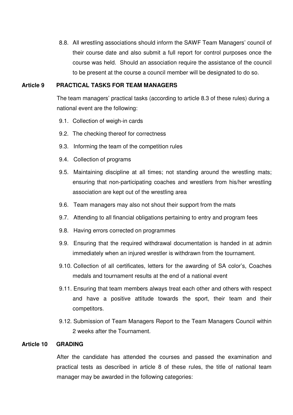8.8. All wrestling associations should inform the SAWF Team Managers' council of their course date and also submit a full report for control purposes once the course was held. Should an association require the assistance of the council to be present at the course a council member will be designated to do so.

#### **Article 9 PRACTICAL TASKS FOR TEAM MANAGERS**

The team managers' practical tasks (according to article 8.3 of these rules) during a national event are the following:

- 9.1. Collection of weigh-in cards
- 9.2. The checking thereof for correctness
- 9.3. Informing the team of the competition rules
- 9.4. Collection of programs
- 9.5. Maintaining discipline at all times; not standing around the wrestling mats; ensuring that non-participating coaches and wrestlers from his/her wrestling association are kept out of the wrestling area
- 9.6. Team managers may also not shout their support from the mats
- 9.7. Attending to all financial obligations pertaining to entry and program fees
- 9.8. Having errors corrected on programmes
- 9.9. Ensuring that the required withdrawal documentation is handed in at admin immediately when an injured wrestler is withdrawn from the tournament.
- 9.10. Collection of all certificates, letters for the awarding of SA color's, Coaches medals and tournament results at the end of a national event
- 9.11. Ensuring that team members always treat each other and others with respect and have a positive attitude towards the sport, their team and their competitors.
- 9.12. Submission of Team Managers Report to the Team Managers Council within 2 weeks after the Tournament.

# **Article 10 GRADING**

After the candidate has attended the courses and passed the examination and practical tests as described in article 8 of these rules, the title of national team manager may be awarded in the following categories: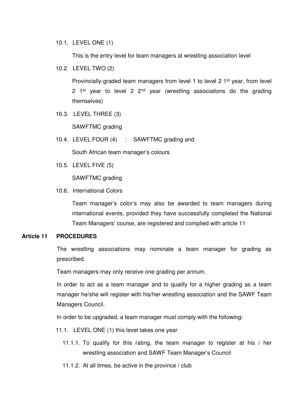10.1. LEVEL ONE (1)

This is the entry level for team managers at wrestling association level

10.2. LEVEL TWO (2)

Provincially-graded team managers from level 1 to level 2 1<sup>st</sup> year, from level 2 1<sup>st</sup> year to level 2  $2<sup>nd</sup>$  year (wrestling associations do the grading themselves)

10.3. LEVEL THREE (3)

SAWFTMC grading

10.4. LEVEL FOUR (4) : SAWFTMC grading and

South African team manager's colours

10.5. LEVEL FIVE (5)

SAWFTMC grading

10.6. International Colors

Team manager's color's may also be awarded to team managers during international events, provided they have successfully completed the National Team Managers' course, are registered and complied with article 11

# **Article 11 PROCEDURES**

The wrestling associations may nominate a team manager for grading as prescribed.

Team managers may only receive one grading per annum.

In order to act as a team manager and to qualify for a higher grading as a team manager he/she will register with his/her wrestling association and the SAWF Team Managers Council.

In order to be upgraded, a team manager must comply with the following:

- 11.1. LEVEL ONE (1) this level takes one year
	- 11.1.1. To qualify for this rating, the team manager to register at his / her wrestling association and SAWF Team Manager's Council
	- 11.1.2. At all times, be active in the province / club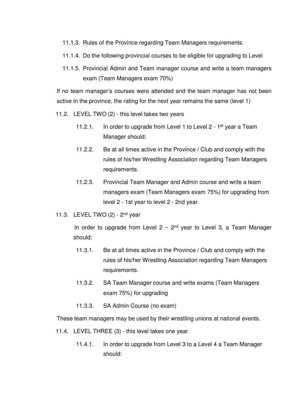- 11.1.3. Rules of the Province regarding Team Managers requirements.
- 11.1.4. Do the following provincial courses to be eligible for upgrading to Level
- 11.1.5. Provincial Admin and Team manager course and write a team managers exam (Team Managers exam 70%)

If no team manager's courses were attended and the team manager has not been active in the province, the rating for the next year remains the same (level 1)

- 11.2. LEVEL TWO (2) this level takes two years
	- 11.2.1. In order to upgrade from Level 1 to Level  $2 1$ <sup>st</sup> year a Team Manager should:
	- 11.2.2. Be at all times active in the Province / Club and comply with the rules of his/her Wrestling Association regarding Team Managers requirements.
	- 11.2.3. Provincial Team Manager and Admin course and write a team managers exam (Team Managers exam 75%) for upgrading from level 2 - 1st year to level 2 - 2nd year.
- 11.3. LEVEL TWO (2) 2<sup>nd</sup> year

In order to upgrade from Level  $2 - 2^{nd}$  year to Level 3, a Team Manager should:

- 11.3.1. Be at all times active in the Province / Club and comply with the rules of his/her Wrestling Association regarding Team Managers requirements.
- 11.3.2. SA Team Manager course and write exams (Team Managers exam 75%) for upgrading
- 11.3.3. SA Admin Course (no exam)

These team managers may be used by their wrestling unions at national events.

- 11.4. LEVEL THREE (3) this level takes one year
	- 11.4.1. In order to upgrade from Level 3 to a Level 4 a Team Manager should: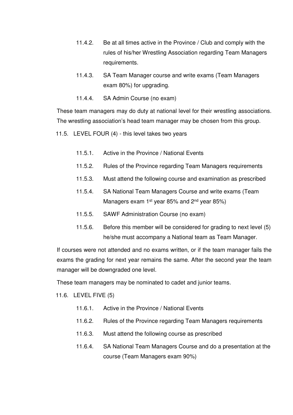- 11.4.2. Be at all times active in the Province / Club and comply with the rules of his/her Wrestling Association regarding Team Managers requirements.
- 11.4.3. SA Team Manager course and write exams (Team Managers exam 80%) for upgrading.
- 11.4.4. SA Admin Course (no exam)

These team managers may do duty at national level for their wrestling associations. The wrestling association's head team manager may be chosen from this group.

11.5. LEVEL FOUR (4) - this level takes two years

- 11.5.1. Active in the Province / National Events
- 11.5.2. Rules of the Province regarding Team Managers requirements
- 11.5.3. Must attend the following course and examination as prescribed
- 11.5.4. SA National Team Managers Course and write exams (Team Managers exam  $1^{st}$  year 85% and  $2^{nd}$  year 85%)
- 11.5.5. SAWF Administration Course (no exam)
- 11.5.6. Before this member will be considered for grading to next level (5) he/she must accompany a National team as Team Manager.

If courses were not attended and no exams written, or if the team manager fails the exams the grading for next year remains the same. After the second year the team manager will be downgraded one level.

These team managers may be nominated to cadet and junior teams.

11.6. LEVEL FIVE (5)

- 11.6.1. Active in the Province / National Events
- 11.6.2. Rules of the Province regarding Team Managers requirements
- 11.6.3. Must attend the following course as prescribed
- 11.6.4. SA National Team Managers Course and do a presentation at the course (Team Managers exam 90%)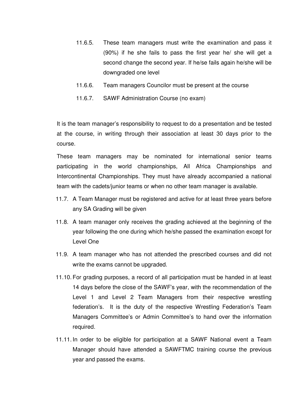- 11.6.5. These team managers must write the examination and pass it (90%) if he she fails to pass the first year he/ she will get a second change the second year. If he/se fails again he/she will be downgraded one level
- 11.6.6. Team managers Councilor must be present at the course
- 11.6.7. SAWF Administration Course (no exam)

It is the team manager's responsibility to request to do a presentation and be tested at the course, in writing through their association at least 30 days prior to the course.

These team managers may be nominated for international senior teams participating in the world championships, All Africa Championships and Intercontinental Championships. They must have already accompanied a national team with the cadets/junior teams or when no other team manager is available.

- 11.7. A Team Manager must be registered and active for at least three years before any SA Grading will be given
- 11.8. A team manager only receives the grading achieved at the beginning of the year following the one during which he/she passed the examination except for Level One
- 11.9. A team manager who has not attended the prescribed courses and did not write the exams cannot be upgraded.
- 11.10. For grading purposes, a record of all participation must be handed in at least 14 days before the close of the SAWF's year, with the recommendation of the Level 1 and Level 2 Team Managers from their respective wrestling federation's. It is the duty of the respective Wrestling Federation's Team Managers Committee's or Admin Committee's to hand over the information required.
- 11.11. In order to be eligible for participation at a SAWF National event a Team Manager should have attended a SAWFTMC training course the previous year and passed the exams.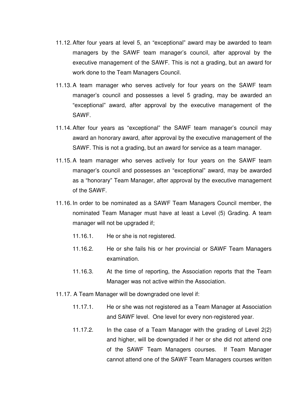- 11.12. After four years at level 5, an "exceptional" award may be awarded to team managers by the SAWF team manager's council, after approval by the executive management of the SAWF. This is not a grading, but an award for work done to the Team Managers Council.
- 11.13. A team manager who serves actively for four years on the SAWF team manager's council and possesses a level 5 grading, may be awarded an "exceptional" award, after approval by the executive management of the SAWF.
- 11.14. After four years as "exceptional" the SAWF team manager's council may award an honorary award, after approval by the executive management of the SAWF. This is not a grading, but an award for service as a team manager.
- 11.15. A team manager who serves actively for four years on the SAWF team manager's council and possesses an "exceptional" award, may be awarded as a "honorary" Team Manager, after approval by the executive management of the SAWF.
- 11.16. In order to be nominated as a SAWF Team Managers Council member, the nominated Team Manager must have at least a Level (5) Grading. A team manager will not be upgraded if;
	- 11.16.1. He or she is not registered.
	- 11.16.2. He or she fails his or her provincial or SAWF Team Managers examination.
	- 11.16.3. At the time of reporting, the Association reports that the Team Manager was not active within the Association.
- 11.17. A Team Manager will be downgraded one level if:
	- 11.17.1. He or she was not registered as a Team Manager at Association and SAWF level. One level for every non-registered year.
	- 11.17.2. In the case of a Team Manager with the grading of Level 2(2) and higher, will be downgraded if her or she did not attend one of the SAWF Team Managers courses. If Team Manager cannot attend one of the SAWF Team Managers courses written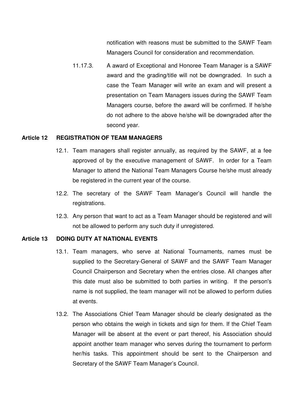notification with reasons must be submitted to the SAWF Team Managers Council for consideration and recommendation.

11.17.3. A award of Exceptional and Honoree Team Manager is a SAWF award and the grading/title will not be downgraded. In such a case the Team Manager will write an exam and will present a presentation on Team Managers issues during the SAWF Team Managers course, before the award will be confirmed. If he/she do not adhere to the above he/she will be downgraded after the second year.

#### **Article 12 REGISTRATION OF TEAM MANAGERS**

- 12.1. Team managers shall register annually, as required by the SAWF, at a fee approved of by the executive management of SAWF. In order for a Team Manager to attend the National Team Managers Course he/she must already be registered in the current year of the course.
- 12.2. The secretary of the SAWF Team Manager's Council will handle the registrations.
- 12.3. Any person that want to act as a Team Manager should be registered and will not be allowed to perform any such duty if unregistered.

## **Article 13 DOING DUTY AT NATIONAL EVENTS**

- 13.1. Team managers, who serve at National Tournaments, names must be supplied to the Secretary-General of SAWF and the SAWF Team Manager Council Chairperson and Secretary when the entries close. All changes after this date must also be submitted to both parties in writing. If the person's name is not supplied, the team manager will not be allowed to perform duties at events.
- 13.2. The Associations Chief Team Manager should be clearly designated as the person who obtains the weigh in tickets and sign for them. If the Chief Team Manager will be absent at the event or part thereof, his Association should appoint another team manager who serves during the tournament to perform her/his tasks. This appointment should be sent to the Chairperson and Secretary of the SAWF Team Manager's Council.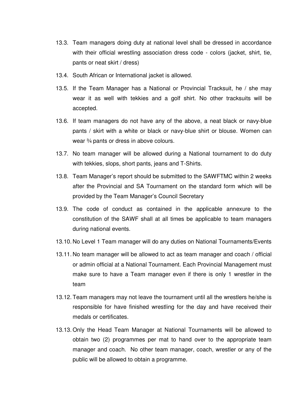- 13.3. Team managers doing duty at national level shall be dressed in accordance with their official wrestling association dress code - colors (jacket, shirt, tie, pants or neat skirt / dress)
- 13.4. South African or International jacket is allowed.
- 13.5. If the Team Manager has a National or Provincial Tracksuit, he / she may wear it as well with tekkies and a golf shirt. No other tracksuits will be accepted.
- 13.6. If team managers do not have any of the above, a neat black or navy-blue pants / skirt with a white or black or navy-blue shirt or blouse. Women can wear ¾ pants or dress in above colours.
- 13.7. No team manager will be allowed during a National tournament to do duty with tekkies, slops, short pants, jeans and T-Shirts.
- 13.8. Team Manager's report should be submitted to the SAWFTMC within 2 weeks after the Provincial and SA Tournament on the standard form which will be provided by the Team Manager's Council Secretary
- 13.9. The code of conduct as contained in the applicable annexure to the constitution of the SAWF shall at all times be applicable to team managers during national events.
- 13.10. No Level 1 Team manager will do any duties on National Tournaments/Events
- 13.11. No team manager will be allowed to act as team manager and coach / official or admin official at a National Tournament. Each Provincial Management must make sure to have a Team manager even if there is only 1 wrestler in the team
- 13.12. Team managers may not leave the tournament until all the wrestlers he/she is responsible for have finished wrestling for the day and have received their medals or certificates.
- 13.13. Only the Head Team Manager at National Tournaments will be allowed to obtain two (2) programmes per mat to hand over to the appropriate team manager and coach. No other team manager, coach, wrestler or any of the public will be allowed to obtain a programme.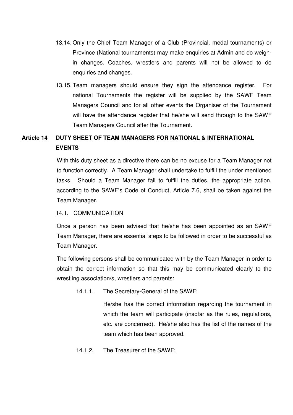- 13.14. Only the Chief Team Manager of a Club (Provincial, medal tournaments) or Province (National tournaments) may make enquiries at Admin and do weighin changes. Coaches, wrestlers and parents will not be allowed to do enquiries and changes.
- 13.15. Team managers should ensure they sign the attendance register. For national Tournaments the register will be supplied by the SAWF Team Managers Council and for all other events the Organiser of the Tournament will have the attendance register that he/she will send through to the SAWF Team Managers Council after the Tournament.

# **Article 14 DUTY SHEET OF TEAM MANAGERS FOR NATIONAL & INTERNATIONAL EVENTS**

With this duty sheet as a directive there can be no excuse for a Team Manager not to function correctly. A Team Manager shall undertake to fulfill the under mentioned tasks. Should a Team Manager fail to fulfill the duties, the appropriate action, according to the SAWF's Code of Conduct, Article 7.6, shall be taken against the Team Manager.

# 14.1. COMMUNICATION

Once a person has been advised that he/she has been appointed as an SAWF Team Manager, there are essential steps to be followed in order to be successful as Team Manager.

The following persons shall be communicated with by the Team Manager in order to obtain the correct information so that this may be communicated clearly to the wrestling association/s, wrestlers and parents:

14.1.1. The Secretary-General of the SAWF:

He/she has the correct information regarding the tournament in which the team will participate (insofar as the rules, regulations, etc. are concerned). He/she also has the list of the names of the team which has been approved.

14.1.2. The Treasurer of the SAWF: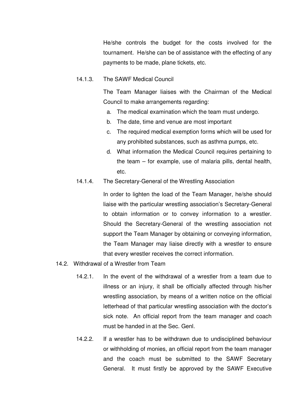He/she controls the budget for the costs involved for the tournament. He/she can be of assistance with the effecting of any payments to be made, plane tickets, etc.

#### 14.1.3. The SAWF Medical Council

The Team Manager liaises with the Chairman of the Medical Council to make arrangements regarding:

- a. The medical examination which the team must undergo.
- b. The date, time and venue are most important
- c. The required medical exemption forms which will be used for any prohibited substances, such as asthma pumps, etc.
- d. What information the Medical Council requires pertaining to the team – for example, use of malaria pills, dental health, etc.

#### 14.1.4. The Secretary-General of the Wrestling Association

In order to lighten the load of the Team Manager, he/she should liaise with the particular wrestling association's Secretary-General to obtain information or to convey information to a wrestler. Should the Secretary-General of the wrestling association not support the Team Manager by obtaining or conveying information, the Team Manager may liaise directly with a wrestler to ensure that every wrestler receives the correct information.

### 14.2. Withdrawal of a Wrestler from Team

- 14.2.1. In the event of the withdrawal of a wrestler from a team due to illness or an injury, it shall be officially affected through his/her wrestling association, by means of a written notice on the official letterhead of that particular wrestling association with the doctor's sick note. An official report from the team manager and coach must be handed in at the Sec. Genl.
- 14.2.2. If a wrestler has to be withdrawn due to undisciplined behaviour or withholding of monies, an official report from the team manager and the coach must be submitted to the SAWF Secretary General. It must firstly be approved by the SAWF Executive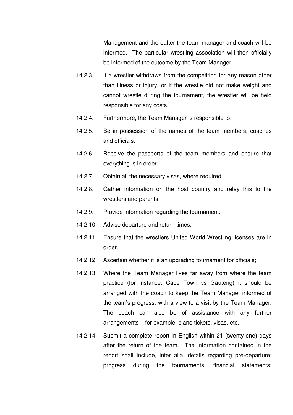Management and thereafter the team manager and coach will be informed. The particular wrestling association will then officially be informed of the outcome by the Team Manager.

- 14.2.3. If a wrestler withdraws from the competition for any reason other than illness or injury, or if the wrestle did not make weight and cannot wrestle during the tournament, the wrestler will be held responsible for any costs.
- 14.2.4. Furthermore, the Team Manager is responsible to:
- 14.2.5. Be in possession of the names of the team members, coaches and officials.
- 14.2.6. Receive the passports of the team members and ensure that everything is in order
- 14.2.7. Obtain all the necessary visas, where required.
- 14.2.8. Gather information on the host country and relay this to the wrestlers and parents.
- 14.2.9. Provide information regarding the tournament.
- 14.2.10. Advise departure and return times.
- 14.2.11. Ensure that the wrestlers United World Wrestling licenses are in order.
- 14.2.12. Ascertain whether it is an upgrading tournament for officials;
- 14.2.13. Where the Team Manager lives far away from where the team practice (for instance: Cape Town vs Gauteng) it should be arranged with the coach to keep the Team Manager informed of the team's progress, with a view to a visit by the Team Manager. The coach can also be of assistance with any further arrangements – for example, plane tickets, visas, etc.
- 14.2.14. Submit a complete report in English within 21 (twenty-one) days after the return of the team. The information contained in the report shall include, inter alia, details regarding pre-departure; progress during the tournaments; financial statements;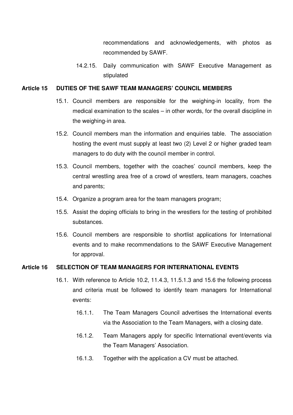recommendations and acknowledgements, with photos as recommended by SAWF.

14.2.15. Daily communication with SAWF Executive Management as stipulated

#### **Article 15 DUTIES OF THE SAWF TEAM MANAGERS' COUNCIL MEMBERS**

- 15.1. Council members are responsible for the weighing-in locality, from the medical examination to the scales – in other words, for the overall discipline in the weighing-in area.
- 15.2. Council members man the information and enquiries table. The association hosting the event must supply at least two (2) Level 2 or higher graded team managers to do duty with the council member in control.
- 15.3. Council members, together with the coaches' council members, keep the central wrestling area free of a crowd of wrestlers, team managers, coaches and parents;
- 15.4. Organize a program area for the team managers program;
- 15.5. Assist the doping officials to bring in the wrestlers for the testing of prohibited substances.
- 15.6. Council members are responsible to shortlist applications for International events and to make recommendations to the SAWF Executive Management for approval.

# **Article 16 SELECTION OF TEAM MANAGERS FOR INTERNATIONAL EVENTS**

- 16.1. With reference to Article 10.2, 11.4.3, 11.5.1.3 and 15.6 the following process and criteria must be followed to identify team managers for International events:
	- 16.1.1. The Team Managers Council advertises the International events via the Association to the Team Managers, with a closing date.
	- 16.1.2. Team Managers apply for specific International event/events via the Team Managers' Association.
	- 16.1.3. Together with the application a CV must be attached.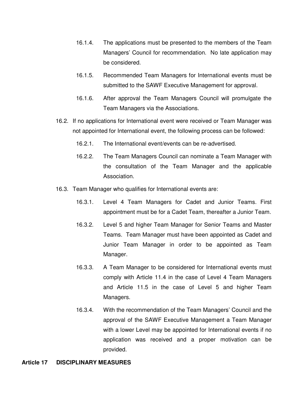- 16.1.4. The applications must be presented to the members of the Team Managers' Council for recommendation. No late application may be considered.
- 16.1.5. Recommended Team Managers for International events must be submitted to the SAWF Executive Management for approval.
- 16.1.6. After approval the Team Managers Council will promulgate the Team Managers via the Associations.
- 16.2. If no applications for International event were received or Team Manager was not appointed for International event, the following process can be followed:
	- 16.2.1. The International event/events can be re-advertised.
	- 16.2.2. The Team Managers Council can nominate a Team Manager with the consultation of the Team Manager and the applicable Association.
- 16.3. Team Manager who qualifies for International events are:
	- 16.3.1. Level 4 Team Managers for Cadet and Junior Teams. First appointment must be for a Cadet Team, thereafter a Junior Team.
	- 16.3.2. Level 5 and higher Team Manager for Senior Teams and Master Teams. Team Manager must have been appointed as Cadet and Junior Team Manager in order to be appointed as Team Manager.
	- 16.3.3. A Team Manager to be considered for International events must comply with Article 11.4 in the case of Level 4 Team Managers and Article 11.5 in the case of Level 5 and higher Team Managers.
	- 16.3.4. With the recommendation of the Team Managers' Council and the approval of the SAWF Executive Management a Team Manager with a lower Level may be appointed for International events if no application was received and a proper motivation can be provided.

#### **Article 17 DISCIPLINARY MEASURES**